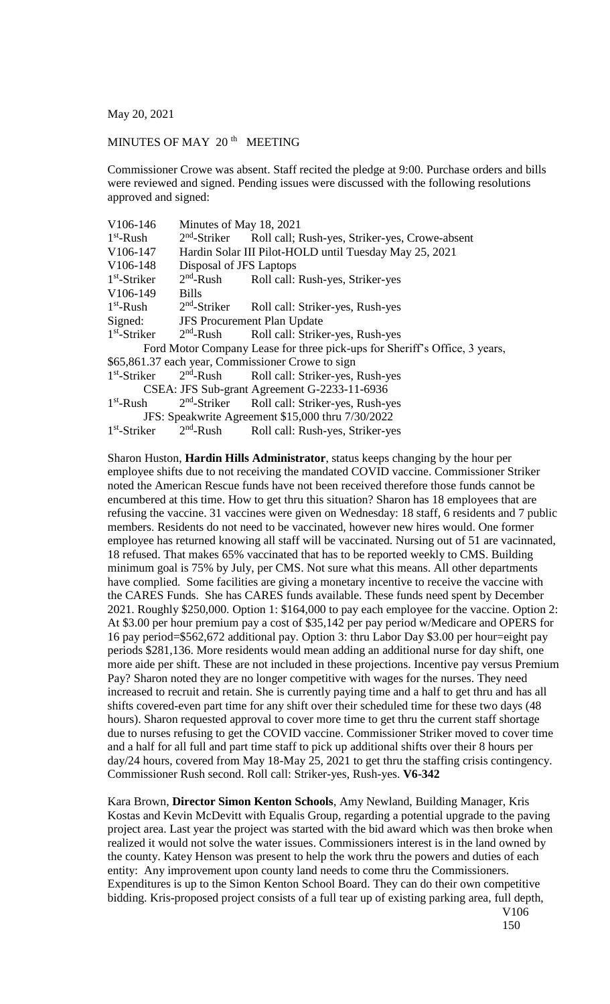May 20, 2021

## MINUTES OF MAY 20<sup>th</sup> MEETING

Commissioner Crowe was absent. Staff recited the pledge at 9:00. Purchase orders and bills were reviewed and signed. Pending issues were discussed with the following resolutions approved and signed:

| V106-146                                                                   | Minutes of May 18, 2021                                |                                                                                 |
|----------------------------------------------------------------------------|--------------------------------------------------------|---------------------------------------------------------------------------------|
| $1st$ -Rush                                                                | $2nd$ -Striker                                         | Roll call; Rush-yes, Striker-yes, Crowe-absent                                  |
| V106-147                                                                   | Hardin Solar III Pilot-HOLD until Tuesday May 25, 2021 |                                                                                 |
| V106-148                                                                   | Disposal of JFS Laptops                                |                                                                                 |
| $1st$ -Striker                                                             |                                                        | 2 <sup>nd</sup> -Rush Roll call: Rush-yes, Striker-yes                          |
| V106-149                                                                   | <b>Bills</b>                                           |                                                                                 |
| $1st$ -Rush                                                                | $2nd$ -Striker                                         | Roll call: Striker-yes, Rush-yes                                                |
|                                                                            | Signed: JFS Procurement Plan Update                    |                                                                                 |
| $1st$ -Striker $2nd$ -Rush                                                 |                                                        | Roll call: Striker-yes, Rush-yes                                                |
| Ford Motor Company Lease for three pick-ups for Sheriff's Office, 3 years, |                                                        |                                                                                 |
| \$65,861.37 each year, Commissioner Crowe to sign                          |                                                        |                                                                                 |
|                                                                            |                                                        | 1 <sup>st</sup> -Striker 2 <sup>nd</sup> -Rush Roll call: Striker-yes, Rush-yes |
| CSEA: JFS Sub-grant Agreement G-2233-11-6936                               |                                                        |                                                                                 |
| $1st$ -Rush                                                                |                                                        | $2nd$ -Striker Roll call: Striker-yes, Rush-yes                                 |
| JFS: Speakwrite Agreement \$15,000 thru 7/30/2022                          |                                                        |                                                                                 |
| $1st$ -Striker                                                             | $2nd$ -Rush                                            | Roll call: Rush-yes, Striker-yes                                                |

Sharon Huston, **Hardin Hills Administrator**, status keeps changing by the hour per employee shifts due to not receiving the mandated COVID vaccine. Commissioner Striker noted the American Rescue funds have not been received therefore those funds cannot be encumbered at this time. How to get thru this situation? Sharon has 18 employees that are refusing the vaccine. 31 vaccines were given on Wednesday: 18 staff, 6 residents and 7 public members. Residents do not need to be vaccinated, however new hires would. One former employee has returned knowing all staff will be vaccinated. Nursing out of 51 are vacinnated, 18 refused. That makes 65% vaccinated that has to be reported weekly to CMS. Building minimum goal is 75% by July, per CMS. Not sure what this means. All other departments have complied. Some facilities are giving a monetary incentive to receive the vaccine with the CARES Funds. She has CARES funds available. These funds need spent by December 2021. Roughly \$250,000. Option 1: \$164,000 to pay each employee for the vaccine. Option 2: At \$3.00 per hour premium pay a cost of \$35,142 per pay period w/Medicare and OPERS for 16 pay period=\$562,672 additional pay. Option 3: thru Labor Day \$3.00 per hour=eight pay periods \$281,136. More residents would mean adding an additional nurse for day shift, one more aide per shift. These are not included in these projections. Incentive pay versus Premium Pay? Sharon noted they are no longer competitive with wages for the nurses. They need increased to recruit and retain. She is currently paying time and a half to get thru and has all shifts covered-even part time for any shift over their scheduled time for these two days (48 hours). Sharon requested approval to cover more time to get thru the current staff shortage due to nurses refusing to get the COVID vaccine. Commissioner Striker moved to cover time and a half for all full and part time staff to pick up additional shifts over their 8 hours per day/24 hours, covered from May 18-May 25, 2021 to get thru the staffing crisis contingency. Commissioner Rush second. Roll call: Striker-yes, Rush-yes. **V6-342**

Kara Brown, **Director Simon Kenton Schools**, Amy Newland, Building Manager, Kris Kostas and Kevin McDevitt with Equalis Group, regarding a potential upgrade to the paving project area. Last year the project was started with the bid award which was then broke when realized it would not solve the water issues. Commissioners interest is in the land owned by the county. Katey Henson was present to help the work thru the powers and duties of each entity: Any improvement upon county land needs to come thru the Commissioners. Expenditures is up to the Simon Kenton School Board. They can do their own competitive bidding. Kris-proposed project consists of a full tear up of existing parking area, full depth, V106